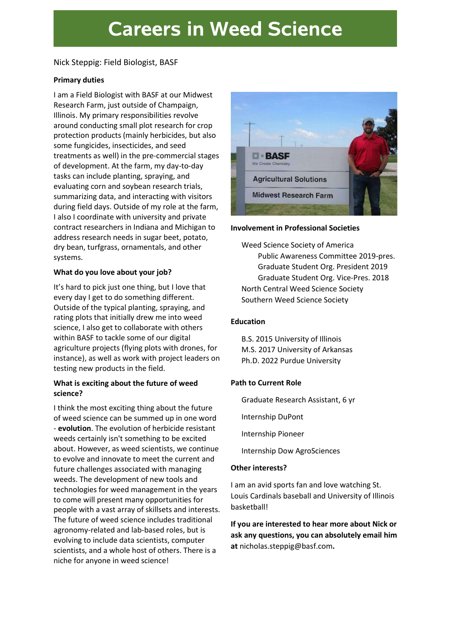# **Careers in Weed Science**

# Nick Steppig: Field Biologist, BASF

#### Primary duties

I am a Field Biologist with BASF at our Midwest Research Farm, just outside of Champaign, Illinois. My primary responsibilities revolve around conducting small plot research for crop protection products (mainly herbicides, but also some fungicides, insecticides, and seed treatments as well) in the pre-commercial stages of development. At the farm, my day-to-day tasks can include planting, spraying, and evaluating corn and soybean research trials, summarizing data, and interacting with visitors during field days. Outside of my role at the farm, I also I coordinate with university and private contract researchers in Indiana and Michigan to address research needs in sugar beet, potato, dry bean, turfgrass, ornamentals, and other systems.

# What do you love about your job?

It's hard to pick just one thing, but I love that every day I get to do something different. Outside of the typical planting, spraying, and rating plots that initially drew me into weed science, I also get to collaborate with others within BASF to tackle some of our digital agriculture projects (flying plots with drones, for instance), as well as work with project leaders on testing new products in the field.

# What is exciting about the future of weed science?

I think the most exciting thing about the future of weed science can be summed up in one word - evolution. The evolution of herbicide resistant weeds certainly isn't something to be excited about. However, as weed scientists, we continue to evolve and innovate to meet the current and future challenges associated with managing weeds. The development of new tools and technologies for weed management in the years to come will present many opportunities for people with a vast array of skillsets and interests. The future of weed science includes traditional agronomy-related and lab-based roles, but is evolving to include data scientists, computer scientists, and a whole host of others. There is a niche for anyone in weed science!



#### Involvement in Professional Societies

Weed Science Society of America Public Awareness Committee 2019-pres. Graduate Student Org. President 2019 Graduate Student Org. Vice-Pres. 2018 North Central Weed Science Society Southern Weed Science Society

# Education

B.S. 2015 University of Illinois M.S. 2017 University of Arkansas Ph.D. 2022 Purdue University

# Path to Current Role

Graduate Research Assistant, 6 yr

Internship DuPont

Internship Pioneer

Internship Dow AgroSciences

# Other interests?

I am an avid sports fan and love watching St. Louis Cardinals baseball and University of Illinois basketball!

If you are interested to hear more about Nick or ask any questions, you can absolutely email him at nicholas.steppig@basf.com.